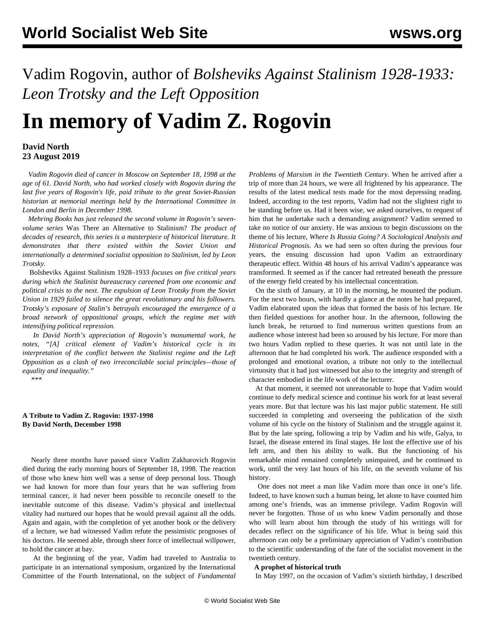Vadim Rogovin, author of *Bolsheviks Against Stalinism 1928-1933: Leon Trotsky and the Left Opposition*

# **In memory of Vadim Z. Rogovin**

# **David North 23 August 2019**

 *Vadim Rogovin died of cancer in Moscow on September 18, 1998 at the age of 61. David North, who had worked closely with Rogovin during the last five years of Rogovin's life, paid tribute to the great Soviet-Russian historian at memorial meetings held by the International Committee in London and Berlin in December 1998.*

 *Mehring Books has just released the second volume in Rogovin's sevenvolume series* Was There an Alternative to Stalinism? *The product of decades of research, this series is a masterpiece of historical literature. It demonstrates that there existed within the Soviet Union and internationally a determined socialist opposition to Stalinism, led by Leon Trotsky.*

 [Bolsheviks Against Stalinism 1928–1933](https://mehring.com/bolsheviks-against-stalinism-1928-1934.html) *focuses on five critical years during which the Stalinist bureaucracy careened from one economic and political crisis to the next. The expulsion of Leon Trotsky from the Soviet Union in 1929 failed to silence the great revolutionary and his followers. Trotsky's exposure of Stalin's betrayals encouraged the emergence of a broad network of oppositional groups, which the regime met with intensifying political repression.*

 *In David North's appreciation of Rogovin's monumental work, he notes, "[A] critical element of Vadim's historical cycle is its interpretation of the conflict between the Stalinist regime and the Left Opposition as a clash of two irreconcilable social principles—those of equality and inequality."*

\*\*\*

#### **A Tribute to Vadim Z. Rogovin: 1937-1998 By David North, December 1998**

 Nearly three months have passed since Vadim Zakharovich Rogovin died during the early morning hours of September 18, 1998. The reaction of those who knew him well was a sense of deep personal loss. Though we had known for more than four years that he was suffering from terminal cancer, it had never been possible to reconcile oneself to the inevitable outcome of this disease. Vadim's physical and intellectual vitality had nurtured our hopes that he would prevail against all the odds. Again and again, with the completion of yet another book or the delivery of a lecture, we had witnessed Vadim refute the pessimistic prognoses of his doctors. He seemed able, through sheer force of intellectual willpower, to hold the cancer at bay.

 At the beginning of the year, Vadim had traveled to Australia to participate in an international symposium, organized by the International Committee of the Fourth International, on the subject of *Fundamental* *Problems of Marxism in the Twentieth Century.* When he arrived after a trip of more than 24 hours, we were all frightened by his appearance. The results of the latest medical tests made for the most depressing reading. Indeed, according to the test reports, Vadim had not the slightest right to be standing before us. Had it been wise, we asked ourselves, to request of him that he undertake such a demanding assignment? Vadim seemed to take no notice of our anxiety. He was anxious to begin discussions on the theme of his lecture, *Where Is Russia Going? A Sociological Analysis and Historical Prognosis.* As we had seen so often during the previous four years, the ensuing discussion had upon Vadim an extraordinary therapeutic effect. Within 48 hours of his arrival Vadim's appearance was transformed. It seemed as if the cancer had retreated beneath the pressure of the energy field created by his intellectual concentration.

 On the sixth of January, at 10 in the morning, he mounted the podium. For the next two hours, with hardly a glance at the notes he had prepared, Vadim elaborated upon the ideas that formed the basis of his lecture. He then fielded questions for another hour. In the afternoon, following the lunch break, he returned to find numerous written questions from an audience whose interest had been so aroused by his lecture. For more than two hours Vadim replied to these queries. It was not until late in the afternoon that he had completed his work. The audience responded with a prolonged and emotional ovation, a tribute not only to the intellectual virtuosity that it had just witnessed but also to the integrity and strength of character embodied in the life work of the lecturer.

 At that moment, it seemed not unreasonable to hope that Vadim would continue to defy medical science and continue his work for at least several years more. But that lecture was his last major public statement. He still succeeded in completing and overseeing the publication of the sixth volume of his cycle on the history of Stalinism and the struggle against it. But by the late spring, following a trip by Vadim and his wife, Galya, to Israel, the disease entered its final stages. He lost the effective use of his left arm, and then his ability to walk. But the functioning of his remarkable mind remained completely unimpaired, and he continued to work, until the very last hours of his life, on the seventh volume of his history.

 One does not meet a man like Vadim more than once in one's life. Indeed, to have known such a human being, let alone to have counted him among one's friends, was an immense privilege. Vadim Rogovin will never be forgotten. Those of us who knew Vadim personally and those who will learn about him through the study of his writings will for decades reflect on the significance of his life. What is being said this afternoon can only be a preliminary appreciation of Vadim's contribution to the scientific understanding of the fate of the socialist movement in the twentieth century.

#### **A prophet of historical truth**

In May 1997, on the occasion of Vadim's sixtieth birthday, I described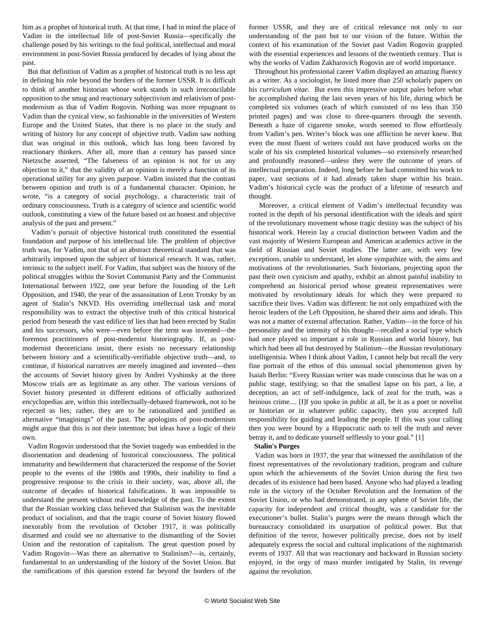him as a prophet of historical truth. At that time, I had in mind the place of Vadim in the intellectual life of post-Soviet Russia—specifically the challenge posed by his writings to the foul political, intellectual and moral environment in post-Soviet Russia produced by decades of lying about the past.

 But that definition of Vadim as a prophet of historical truth is no less apt in defining his role beyond the borders of the former USSR. It is difficult to think of another historian whose work stands in such irreconcilable opposition to the smug and reactionary subjectivism and relativism of postmodernism as that of Vadim Rogovin. Nothing was more repugnant to Vadim than the cynical view, so fashionable in the universities of Western Europe and the United States, that there is no place in the study and writing of history for any concept of objective truth. Vadim saw nothing that was original in this outlook, which has long been favored by reactionary thinkers. After all, more than a century has passed since Nietzsche asserted, "The falseness of an opinion is not for us any objection to it," that the validity of an opinion is merely a function of its operational utility for any given purpose. Vadim insisted that the contrast between opinion and truth is of a fundamental character. Opinion, he wrote, "is a category of social psychology, a characteristic trait of ordinary consciousness. Truth is a category of science and scientific world outlook, constituting a view of the future based on an honest and objective analysis of the past and present."

 Vadim's pursuit of objective historical truth constituted the essential foundation and purpose of his intellectual life. The problem of objective truth was, for Vadim, not that of an abstract theoretical standard that was arbitrarily imposed upon the subject of historical research. It was, rather, intrinsic to the subject itself. For Vadim, that subject was the history of the political struggles within the Soviet Communist Party and the Communist International between 1922, one year before the founding of the Left Opposition, and 1940, the year of the assassination of Leon Trotsky by an agent of Stalin's NKVD. His overriding intellectual task and moral responsibility was to extract the objective truth of this critical historical period from beneath the vast edifice of lies that had been erected by Stalin and his successors, who were—even before the term was invented—the foremost practitioners of post-modernist historiography. If, as postmodernist theoreticians insist, there exists no necessary relationship between history and a scientifically-verifiable objective truth—and, to continue, if historical narratives are merely imagined and invented—then the accounts of Soviet history given by Andrei Vyshinsky at the three Moscow trials are as legitimate as any other. The various versions of Soviet history presented in different editions of officially authorized encyclopedias are, within this intellectually-debased framework, not to be rejected as lies; rather, they are to be rationalized and justified as alternative "imaginings" of the past. The apologists of post-modernism might argue that this is not their intention; but ideas have a logic of their own.

 Vadim Rogovin understood that the Soviet tragedy was embedded in the disorientation and deadening of historical consciousness. The political immaturity and bewilderment that characterized the response of the Soviet people to the events of the 1980s and 1990s, their inability to find a progressive response to the crisis in their society, was, above all, the outcome of decades of historical falsifications. It was impossible to understand the present without real knowledge of the past. To the extent that the Russian working class believed that Stalinism was the inevitable product of socialism, and that the tragic course of Soviet history flowed inexorably from the revolution of October 1917, it was politically disarmed and could see no alternative to the dismantling of the Soviet Union and the restoration of capitalism. The great question posed by Vadim Rogovin—Was there an alternative to Stalinism?—is, certainly, fundamental to an understanding of the history of the Soviet Union. But the ramifications of this question extend far beyond the borders of the

former USSR, and they are of critical relevance not only to our understanding of the past but to our vision of the future. Within the context of his examination of the Soviet past Vadim Rogovin grappled with the essential experiences and lessons of the twentieth century. That is why the works of Vadim Zakharovich Rogovin are of world importance.

 Throughout his professional career Vadim displayed an amazing fluency as a writer. As a sociologist, he listed more than 250 scholarly papers on his *curriculum vitae.* But even this impressive output pales before what he accomplished during the last seven years of his life, during which he completed six volumes (each of which consisted of no less than 350 printed pages) and was close to three-quarters through the seventh. Beneath a haze of cigarette smoke, words seemed to flow effortlessly from Vadim's pen. Writer's block was one affliction he never knew. But even the most fluent of writers could not have produced works on the scale of his six completed historical volumes—so extensively researched and profoundly reasoned—unless they were the outcome of years of intellectual preparation. Indeed, long before he had committed his work to paper, vast sections of it had already taken shape within his brain. Vadim's historical cycle was the product of a lifetime of research and thought.

 Moreover, a critical element of Vadim's intellectual fecundity was rooted in the depth of his personal identification with the ideals and spirit of the revolutionary movement whose tragic destiny was the subject of his historical work. Herein lay a crucial distinction between Vadim and the vast majority of Western European and American academics active in the field of Russian and Soviet studies. The latter are, with very few exceptions, unable to understand, let alone sympathize with, the aims and motivations of the revolutionaries. Such historians, projecting upon the past their own cynicism and apathy, exhibit an almost painful inability to comprehend an historical period whose greatest representatives were motivated by revolutionary ideals for which they were prepared to sacrifice their lives. Vadim was different: he not only empathized with the heroic leaders of the Left Opposition, he shared their aims and ideals. This was not a matter of external affectation. Rather, Vadim—in the force of his personality and the intensity of his thought—recalled a social type which had once played so important a role in Russian and world history, but which had been all but destroyed by Stalinism—the Russian revolutionary intelligentsia. When I think about Vadim, I cannot help but recall the very fine portrait of the ethos of this unusual social phenomenon given by Isaiah Berlin: "Every Russian writer was made conscious that he was on a public stage, testifying; so that the smallest lapse on his part, a lie, a deception, an act of self-indulgence, lack of zeal for the truth, was a heinous crime.... [I]f you spoke in public at all, be it as a poet or novelist or historian or in whatever public capacity, then you accepted full responsibility for guiding and leading the people. If this was your calling then you were bound by a Hippocratic oath to tell the truth and never betray it, and to dedicate yourself selflessly to your goal." [1]

#### **Stalin's Purges**

 Vadim was born in 1937, the year that witnessed the annihilation of the finest representatives of the revolutionary tradition, program and culture upon which the achievements of the Soviet Union during the first two decades of its existence had been based. Anyone who had played a leading role in the victory of the October Revolution and the formation of the Soviet Union, or who had demonstrated, in any sphere of Soviet life, the capacity for independent and critical thought, was a candidate for the executioner's bullet. Stalin's purges were the means through which the bureaucracy consolidated its usurpation of political power. But that definition of the terror, however politically precise, does not by itself adequately express the social and cultural implications of the nightmarish events of 1937. All that was reactionary and backward in Russian society enjoyed, in the orgy of mass murder instigated by Stalin, its revenge against the revolution.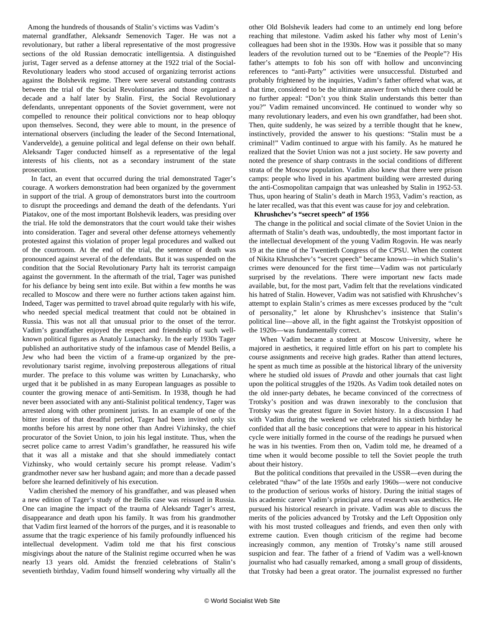Among the hundreds of thousands of Stalin's victims was Vadim's maternal grandfather, Aleksandr Semenovich Tager. He was not a revolutionary, but rather a liberal representative of the most progressive sections of the old Russian democratic intelligentsia. A distinguished jurist, Tager served as a defense attorney at the 1922 trial of the Social-Revolutionary leaders who stood accused of organizing terrorist actions against the Bolshevik regime. There were several outstanding contrasts between the trial of the Social Revolutionaries and those organized a decade and a half later by Stalin. First, the Social Revolutionary defendants, unrepentant opponents of the Soviet government, were not compelled to renounce their political convictions nor to heap obloquy upon themselves. Second, they were able to mount, in the presence of international observers (including the leader of the Second International, Vandervelde), a genuine political and legal defense on their own behalf. Aleksandr Tager conducted himself as a representative of the legal interests of his clients, not as a secondary instrument of the state prosecution.

 In fact, an event that occurred during the trial demonstrated Tager's courage. A workers demonstration had been organized by the government in support of the trial. A group of demonstrators burst into the courtroom to disrupt the proceedings and demand the death of the defendants. Yuri Piatakov, one of the most important Bolshevik leaders, was presiding over the trial. He told the demonstrators that the court would take their wishes into consideration. Tager and several other defense attorneys vehemently protested against this violation of proper legal procedures and walked out of the courtroom. At the end of the trial, the sentence of death was pronounced against several of the defendants. But it was suspended on the condition that the Social Revolutionary Party halt its terrorist campaign against the government. In the aftermath of the trial, Tager was punished for his defiance by being sent into exile. But within a few months he was recalled to Moscow and there were no further actions taken against him. Indeed, Tager was permitted to travel abroad quite regularly with his wife, who needed special medical treatment that could not be obtained in Russia. This was not all that unusual prior to the onset of the terror. Vadim's grandfather enjoyed the respect and friendship of such wellknown political figures as Anatoly Lunacharsky. In the early 1930s Tager published an authoritative study of the infamous case of Mendel Beilis, a Jew who had been the victim of a frame-up organized by the prerevolutionary tsarist regime, involving preposterous allegations of ritual murder. The preface to this volume was written by Lunacharsky, who urged that it be published in as many European languages as possible to counter the growing menace of anti-Semitism. In 1938, though he had never been associated with any anti-Stalinist political tendency, Tager was arrested along with other prominent jurists. In an example of one of the bitter ironies of that dreadful period, Tager had been invited only six months before his arrest by none other than Andrei Vizhinsky, the chief procurator of the Soviet Union, to join his legal institute. Thus, when the secret police came to arrest Vadim's grandfather, he reassured his wife that it was all a mistake and that she should immediately contact Vizhinsky, who would certainly secure his prompt release. Vadim's grandmother never saw her husband again; and more than a decade passed before she learned definitively of his execution.

 Vadim cherished the memory of his grandfather, and was pleased when a new edition of Tager's study of the Beilis case was reissued in Russia. One can imagine the impact of the trauma of Aleksandr Tager's arrest, disappearance and death upon his family. It was from his grandmother that Vadim first learned of the horrors of the purges, and it is reasonable to assume that the tragic experience of his family profoundly influenced his intellectual development. Vadim told me that his first conscious misgivings about the nature of the Stalinist regime occurred when he was nearly 13 years old. Amidst the frenzied celebrations of Stalin's seventieth birthday, Vadim found himself wondering why virtually all the other Old Bolshevik leaders had come to an untimely end long before reaching that milestone. Vadim asked his father why most of Lenin's colleagues had been shot in the 1930s. How was it possible that so many leaders of the revolution turned out to be "Enemies of the People"? His father's attempts to fob his son off with hollow and unconvincing references to "anti-Party" activities were unsuccessful. Disturbed and probably frightened by the inquiries, Vadim's father offered what was, at that time, considered to be the ultimate answer from which there could be no further appeal: "Don't you think Stalin understands this better than you?" Vadim remained unconvinced. He continued to wonder why so many revolutionary leaders, and even his own grandfather, had been shot. Then, quite suddenly, he was seized by a terrible thought that he knew, instinctively, provided the answer to his questions: "Stalin must be a criminal!" Vadim continued to argue with his family. As he matured he realized that the Soviet Union was not a just society. He saw poverty and noted the presence of sharp contrasts in the social conditions of different strata of the Moscow population. Vadim also knew that there were prison camps: people who lived in his apartment building were arrested during the anti-Cosmopolitan campaign that was unleashed by Stalin in 1952-53. Thus, upon hearing of Stalin's death in March 1953, Vadim's reaction, as he later recalled, was that this event was cause for joy and celebration.

#### **Khrushchev's "secret speech" of 1956**

 The change in the political and social climate of the Soviet Union in the aftermath of Stalin's death was, undoubtedly, the most important factor in the intellectual development of the young Vadim Rogovin. He was nearly 19 at the time of the Twentieth Congress of the CPSU. When the content of Nikita Khrushchev's "secret speech" became known—in which Stalin's crimes were denounced for the first time—Vadim was not particularly surprised by the revelations. There were important new facts made available, but, for the most part, Vadim felt that the revelations vindicated his hatred of Stalin. However, Vadim was not satisfied with Khrushchev's attempt to explain Stalin's crimes as mere excesses produced by the "cult of personality," let alone by Khrushchev's insistence that Stalin's political line—above all, in the fight against the Trotskyist opposition of the 1920s—was fundamentally correct.

 When Vadim became a student at Moscow University, where he majored in aesthetics, it required little effort on his part to complete his course assignments and receive high grades. Rather than attend lectures, he spent as much time as possible at the historical library of the university where he studied old issues of *Pravda* and other journals that cast light upon the political struggles of the 1920s. As Vadim took detailed notes on the old inner-party debates, he became convinced of the correctness of Trotsky's position and was drawn inexorably to the conclusion that Trotsky was the greatest figure in Soviet history. In a discussion I had with Vadim during the weekend we celebrated his sixtieth birthday he confided that all the basic conceptions that were to appear in his historical cycle were initially formed in the course of the readings he pursued when he was in his twenties. From then on, Vadim told me, he dreamed of a time when it would become possible to tell the Soviet people the truth about their history.

 But the political conditions that prevailed in the USSR—even during the celebrated "thaw" of the late 1950s and early 1960s—were not conducive to the production of serious works of history. During the initial stages of his academic career Vadim's principal area of research was aesthetics. He pursued his historical research in private. Vadim was able to discuss the merits of the policies advanced by Trotsky and the Left Opposition only with his most trusted colleagues and friends, and even then only with extreme caution. Even though criticism of the regime had become increasingly common, any mention of Trotsky's name still aroused suspicion and fear. The father of a friend of Vadim was a well-known journalist who had casually remarked, among a small group of dissidents, that Trotsky had been a great orator. The journalist expressed no further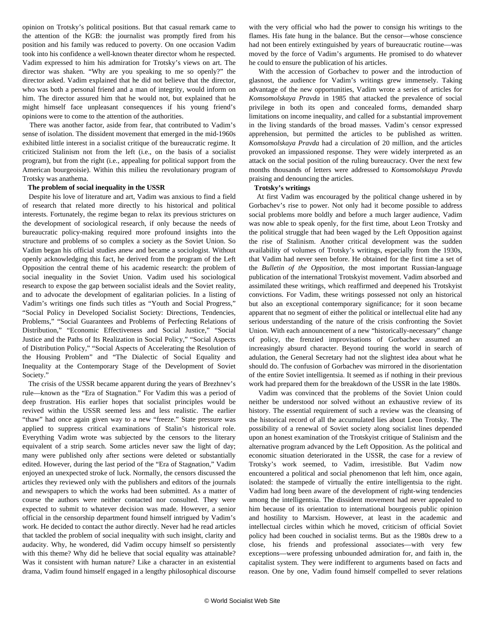opinion on Trotsky's political positions. But that casual remark came to the attention of the KGB: the journalist was promptly fired from his position and his family was reduced to poverty. On one occasion Vadim took into his confidence a well-known theater director whom he respected. Vadim expressed to him his admiration for Trotsky's views on art. The director was shaken. "Why are you speaking to me so openly?" the director asked. Vadim explained that he did not believe that the director, who was both a personal friend and a man of integrity, would inform on him. The director assured him that he would not, but explained that he might himself face unpleasant consequences if his young friend's opinions were to come to the attention of the authorities.

 There was another factor, aside from fear, that contributed to Vadim's sense of isolation. The dissident movement that emerged in the mid-1960s exhibited little interest in a socialist critique of the bureaucratic regime. It criticized Stalinism not from the left (i.e., on the basis of a socialist program), but from the right (i.e., appealing for political support from the American bourgeoisie). Within this milieu the revolutionary program of Trotsky was anathema.

#### **The problem of social inequality in the USSR**

 Despite his love of literature and art, Vadim was anxious to find a field of research that related more directly to his historical and political interests. Fortunately, the regime began to relax its previous strictures on the development of sociological research, if only because the needs of bureaucratic policy-making required more profound insights into the structure and problems of so complex a society as the Soviet Union. So Vadim began his official studies anew and became a sociologist. Without openly acknowledging this fact, he derived from the program of the Left Opposition the central theme of his academic research: the problem of social inequality in the Soviet Union. Vadim used his sociological research to expose the gap between socialist ideals and the Soviet reality, and to advocate the development of egalitarian policies. In a listing of Vadim's writings one finds such titles as "Youth and Social Progress," "Social Policy in Developed Socialist Society: Directions, Tendencies, Problems," "Social Guarantees and Problems of Perfecting Relations of Distribution," "Economic Effectiveness and Social Justice," "Social Justice and the Paths of Its Realization in Social Policy," "Social Aspects of Distribution Policy," "Social Aspects of Accelerating the Resolution of the Housing Problem" and "The Dialectic of Social Equality and Inequality at the Contemporary Stage of the Development of Soviet Society."

 The crisis of the USSR became apparent during the years of Brezhnev's rule—known as the "Era of Stagnation." For Vadim this was a period of deep frustration. His earlier hopes that socialist principles would be revived within the USSR seemed less and less realistic. The earlier "thaw" had once again given way to a new "freeze." State pressure was applied to suppress critical examinations of Stalin's historical role. Everything Vadim wrote was subjected by the censors to the literary equivalent of a strip search. Some articles never saw the light of day; many were published only after sections were deleted or substantially edited. However, during the last period of the "Era of Stagnation," Vadim enjoyed an unexpected stroke of luck. Normally, the censors discussed the articles they reviewed only with the publishers and editors of the journals and newspapers to which the works had been submitted. As a matter of course the authors were neither contacted nor consulted. They were expected to submit to whatever decision was made. However, a senior official in the censorship department found himself intrigued by Vadim's work. He decided to contact the author directly. Never had he read articles that tackled the problem of social inequality with such insight, clarity and audacity. Why, he wondered, did Vadim occupy himself so persistently with this theme? Why did he believe that social equality was attainable? Was it consistent with human nature? Like a character in an existential drama, Vadim found himself engaged in a lengthy philosophical discourse with the very official who had the power to consign his writings to the flames. His fate hung in the balance. But the censor—whose conscience had not been entirely extinguished by years of bureaucratic routine—was moved by the force of Vadim's arguments. He promised to do whatever he could to ensure the publication of his articles.

 With the accession of Gorbachev to power and the introduction of glasnost, the audience for Vadim's writings grew immensely. Taking advantage of the new opportunities, Vadim wrote a series of articles for *Komsomolskaya Pravda* in 1985 that attacked the prevalence of social privilege in both its open and concealed forms, demanded sharp limitations on income inequality, and called for a substantial improvement in the living standards of the broad masses. Vadim's censor expressed apprehension, but permitted the articles to be published as written. *Komsomolskaya Pravda* had a circulation of 20 million, and the articles provoked an impassioned response. They were widely interpreted as an attack on the social position of the ruling bureaucracy. Over the next few months thousands of letters were addressed to *Komsomolskaya Pravda* praising and denouncing the articles.

#### **Trotsky's writings**

 At first Vadim was encouraged by the political change ushered in by Gorbachev's rise to power. Not only had it become possible to address social problems more boldly and before a much larger audience, Vadim was now able to speak openly, for the first time, about Leon Trotsky and the political struggle that had been waged by the Left Opposition against the rise of Stalinism. Another critical development was the sudden availability of volumes of Trotsky's writings, especially from the 1930s, that Vadim had never seen before. He obtained for the first time a set of the *Bulletin of the Opposition*, the most important Russian-language publication of the international Trotskyist movement. Vadim absorbed and assimilated these writings, which reaffirmed and deepened his Trotskyist convictions. For Vadim, these writings possessed not only an historical but also an exceptional contemporary significance; for it soon became apparent that no segment of either the political or intellectual elite had any serious understanding of the nature of the crisis confronting the Soviet Union. With each announcement of a new "historically-necessary" change of policy, the frenzied improvisations of Gorbachev assumed an increasingly absurd character. Beyond touring the world in search of adulation, the General Secretary had not the slightest idea about what he should do. The confusion of Gorbachev was mirrored in the disorientation of the entire Soviet intelligentsia. It seemed as if nothing in their previous work had prepared them for the breakdown of the USSR in the late 1980s.

 Vadim was convinced that the problems of the Soviet Union could neither be understood nor solved without an exhaustive review of its history. The essential requirement of such a review was the cleansing of the historical record of all the accumulated lies about Leon Trotsky. The possibility of a renewal of Soviet society along socialist lines depended upon an honest examination of the Trotskyist critique of Stalinism and the alternative program advanced by the Left Opposition. As the political and economic situation deteriorated in the USSR, the case for a review of Trotsky's work seemed, to Vadim, irresistible. But Vadim now encountered a political and social phenomenon that left him, once again, isolated: the stampede of virtually the entire intelligentsia to the right. Vadim had long been aware of the development of right-wing tendencies among the intelligentsia. The dissident movement had never appealed to him because of its orientation to international bourgeois public opinion and hostility to Marxism. However, at least in the academic and intellectual circles within which he moved, criticism of official Soviet policy had been couched in socialist terms. But as the 1980s drew to a close, his friends and professional associates—with very few exceptions—were professing unbounded admiration for, and faith in, the capitalist system. They were indifferent to arguments based on facts and reason. One by one, Vadim found himself compelled to sever relations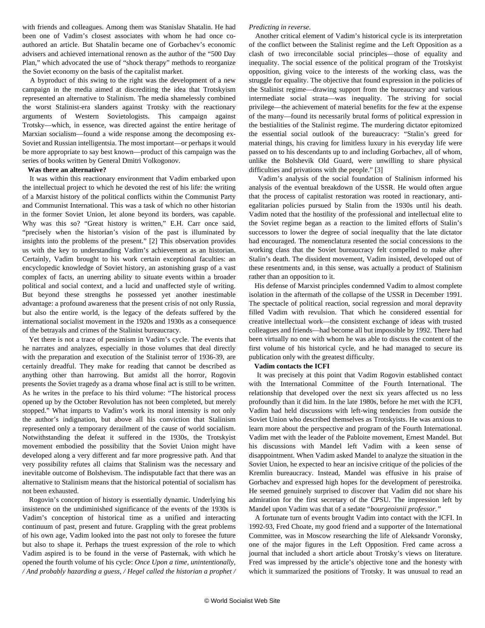with friends and colleagues. Among them was Stanislav Shatalin. He had been one of Vadim's closest associates with whom he had once coauthored an article. But Shatalin became one of Gorbachev's economic advisers and achieved international renown as the author of the "500 Day Plan," which advocated the use of "shock therapy" methods to reorganize the Soviet economy on the basis of the capitalist market.

 A byproduct of this swing to the right was the development of a new campaign in the media aimed at discrediting the idea that Trotskyism represented an alternative to Stalinism. The media shamelessly combined the worst Stalinist-era slanders against Trotsky with the reactionary arguments of Western Sovietologists. This campaign against Trotsky—which, in essence, was directed against the entire heritage of Marxian socialism—found a wide response among the decomposing ex-Soviet and Russian intelligentsia. The most important—or perhaps it would be more appropriate to say best known—product of this campaign was the series of books written by General Dmitri Volkogonov.

#### **Was there an alternative?**

 It was within this reactionary environment that Vadim embarked upon the intellectual project to which he devoted the rest of his life: the writing of a Marxist history of the political conflicts within the Communist Party and Communist International. This was a task of which no other historian in the former Soviet Union, let alone beyond its borders, was capable. Why was this so? "Great history is written," E.H. Carr once said, "precisely when the historian's vision of the past is illuminated by insights into the problems of the present." [2] This observation provides us with the key to understanding Vadim's achievement as an historian. Certainly, Vadim brought to his work certain exceptional faculties: an encyclopedic knowledge of Soviet history, an astonishing grasp of a vast complex of facts, an unerring ability to situate events within a broader political and social context, and a lucid and unaffected style of writing. But beyond these strengths he possessed yet another inestimable advantage: a profound awareness that the present crisis of not only Russia, but also the entire world, is the legacy of the defeats suffered by the international socialist movement in the 1920s and 1930s as a consequence of the betrayals and crimes of the Stalinist bureaucracy.

 Yet there is not a trace of pessimism in Vadim's cycle. The events that he narrates and analyzes, especially in those volumes that deal directly with the preparation and execution of the Stalinist terror of 1936-39, are certainly dreadful. They make for reading that cannot be described as anything other than harrowing. But amidst all the horror, Rogovin presents the Soviet tragedy as a drama whose final act is still to be written. As he writes in the preface to his third volume: "The historical process opened up by the October Revolution has not been completed, but merely stopped." What imparts to Vadim's work its moral intensity is not only the author's indignation, but above all his conviction that Stalinism represented only a temporary derailment of the cause of world socialism. Notwithstanding the defeat it suffered in the 1930s, the Trotskyist movement embodied the possibility that the Soviet Union might have developed along a very different and far more progressive path. And that very possibility refutes all claims that Stalinism was the necessary and inevitable outcome of Bolshevism. The indisputable fact that there was an alternative to Stalinism means that the historical potential of socialism has not been exhausted.

 Rogovin's conception of history is essentially dynamic. Underlying his insistence on the undiminished significance of the events of the 1930s is Vadim's conception of historical time as a unified and interacting continuum of past, present and future. Grappling with the great problems of his own age, Vadim looked into the past not only to foresee the future but also to shape it. Perhaps the truest expression of the role to which Vadim aspired is to be found in the verse of Pasternak, with which he opened the fourth volume of his cycle: *Once Upon a time, unintentionally, / And probably hazarding a guess, / Hegel called the historian a prophet /*

#### *Predicting in reverse.*

 Another critical element of Vadim's historical cycle is its interpretation of the conflict between the Stalinist regime and the Left Opposition as a clash of two irreconcilable social principles—those of equality and inequality. The social essence of the political program of the Trotskyist opposition, giving voice to the interests of the working class, was the struggle for equality. The objective that found expression in the policies of the Stalinist regime—drawing support from the bureaucracy and various intermediate social strata—was inequality. The striving for social privilege—the achievement of material benefits for the few at the expense of the many—found its necessarily brutal forms of political expression in the bestialities of the Stalinist regime. The murdering dictator epitomized the essential social outlook of the bureaucracy: "Stalin's greed for material things, his craving for limitless luxury in his everyday life were passed on to his descendants up to and including Gorbachev, all of whom, unlike the Bolshevik Old Guard, were unwilling to share physical difficulties and privations with the people." [3]

 Vadim's analysis of the social foundation of Stalinism informed his analysis of the eventual breakdown of the USSR. He would often argue that the process of capitalist restoration was rooted in reactionary, antiegalitarian policies pursued by Stalin from the 1930s until his death. Vadim noted that the hostility of the professional and intellectual elite to the Soviet regime began as a reaction to the limited efforts of Stalin's successors to lower the degree of social inequality that the late dictator had encouraged. The nomenclatura resented the social concessions to the working class that the Soviet bureaucracy felt compelled to make after Stalin's death. The dissident movement, Vadim insisted, developed out of these resentments and, in this sense, was actually a product of Stalinism rather than an opposition to it.

 His defense of Marxist principles condemned Vadim to almost complete isolation in the aftermath of the collapse of the USSR in December 1991. The spectacle of political reaction, social regression and moral depravity filled Vadim with revulsion. That which he considered essential for creative intellectual work—the consistent exchange of ideas with trusted colleagues and friends—had become all but impossible by 1992. There had been virtually no one with whom he was able to discuss the content of the first volume of his historical cycle, and he had managed to secure its publication only with the greatest difficulty.

#### **Vadim contacts the ICFI**

 It was precisely at this point that Vadim Rogovin established contact with the International Committee of the Fourth International. The relationship that developed over the next six years affected us no less profoundly than it did him. In the late 1980s, before he met with the ICFI, Vadim had held discussions with left-wing tendencies from outside the Soviet Union who described themselves as Trotskyists. He was anxious to learn more about the perspective and program of the Fourth International. Vadim met with the leader of the Pabloite movement, Ernest Mandel. But his discussions with Mandel left Vadim with a keen sense of disappointment. When Vadim asked Mandel to analyze the situation in the Soviet Union, he expected to hear an incisive critique of the policies of the Kremlin bureaucracy. Instead, Mandel was effusive in his praise of Gorbachev and expressed high hopes for the development of perestroika. He seemed genuinely surprised to discover that Vadim did not share his admiration for the first secretary of the CPSU. The impression left by Mandel upon Vadim was that of a sedate "*bourgeoisnii professor*.*"*

 A fortunate turn of events brought Vadim into contact with the ICFI. In 1992-93, Fred Choate, my good friend and a supporter of the International Committee, was in Moscow researching the life of Aleksandr Voronsky, one of the major figures in the Left Opposition. Fred came across a journal that included a short article about Trotsky's views on literature. Fred was impressed by the article's objective tone and the honesty with which it summarized the positions of Trotsky. It was unusual to read an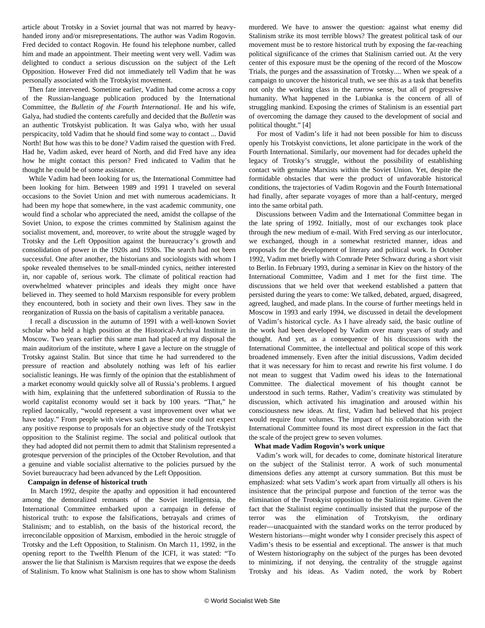article about Trotsky in a Soviet journal that was not marred by heavyhanded irony and/or misrepresentations. The author was Vadim Rogovin. Fred decided to contact Rogovin. He found his telephone number, called him and made an appointment. Their meeting went very well. Vadim was delighted to conduct a serious discussion on the subject of the Left Opposition. However Fred did not immediately tell Vadim that he was personally associated with the Trotskyist movement.

 Then fate intervened. Sometime earlier, Vadim had come across a copy of the Russian-language publication produced by the International Committee, the *Bulletin of the Fourth International*. He and his wife, Galya, had studied the contents carefully and decided that the *Bulletin* was an authentic Trotskyist publication. It was Galya who, with her usual perspicacity, told Vadim that he should find some way to contact ... David North! But how was this to be done? Vadim raised the question with Fred. Had he, Vadim asked, ever heard of North, and did Fred have any idea how he might contact this person? Fred indicated to Vadim that he thought he could be of some assistance.

 While Vadim had been looking for us, the International Committee had been looking for him. Between 1989 and 1991 I traveled on several occasions to the Soviet Union and met with numerous academicians. It had been my hope that somewhere, in the vast academic community, one would find a scholar who appreciated the need, amidst the collapse of the Soviet Union, to expose the crimes committed by Stalinism against the socialist movement, and, moreover, to write about the struggle waged by Trotsky and the Left Opposition against the bureaucracy's growth and consolidation of power in the 1920s and 1930s. The search had not been successful. One after another, the historians and sociologists with whom I spoke revealed themselves to be small-minded cynics, neither interested in, nor capable of, serious work. The climate of political reaction had overwhelmed whatever principles and ideals they might once have believed in. They seemed to hold Marxism responsible for every problem they encountered, both in society and their own lives. They saw in the reorganization of Russia on the basis of capitalism a veritable panacea.

 I recall a discussion in the autumn of 1991 with a well-known Soviet scholar who held a high position at the Historical-Archival Institute in Moscow. Two years earlier this same man had placed at my disposal the main auditorium of the institute, where I gave a lecture on the struggle of Trotsky against Stalin. But since that time he had surrendered to the pressure of reaction and absolutely nothing was left of his earlier socialistic leanings. He was firmly of the opinion that the establishment of a market economy would quickly solve all of Russia's problems. I argued with him, explaining that the unfettered subordination of Russia to the world capitalist economy would set it back by 100 years. "That," he replied laconically, "would represent a vast improvement over what we have today." From people with views such as these one could not expect any positive response to proposals for an objective study of the Trotskyist opposition to the Stalinist regime. The social and political outlook that they had adopted did not permit them to admit that Stalinism represented a grotesque perversion of the principles of the October Revolution, and that a genuine and viable socialist alternative to the policies pursued by the Soviet bureaucracy had been advanced by the Left Opposition.

# **Campaign in defense of historical truth**

 In March 1992, despite the apathy and opposition it had encountered among the demoralized remnants of the Soviet intelligentsia, the International Committee embarked upon a campaign in defense of historical truth: to expose the falsifications, betrayals and crimes of Stalinism; and to establish, on the basis of the historical record, the irreconcilable opposition of Marxism, embodied in the heroic struggle of Trotsky and the Left Opposition, to Stalinism. On March 11, 1992, in the opening report to the Twelfth Plenum of the ICFI, it was stated: "To answer the lie that Stalinism is Marxism requires that we expose the deeds of Stalinism. To know what Stalinism is one has to show whom Stalinism murdered. We have to answer the question: against what enemy did Stalinism strike its most terrible blows? The greatest political task of our movement must be to restore historical truth by exposing the far-reaching political significance of the crimes that Stalinism carried out. At the very center of this exposure must be the opening of the record of the Moscow Trials, the purges and the assassination of Trotsky.... When we speak of a campaign to uncover the historical truth, we see this as a task that benefits not only the working class in the narrow sense, but all of progressive humanity. What happened in the Lubianka is the concern of all of struggling mankind. Exposing the crimes of Stalinism is an essential part of overcoming the damage they caused to the development of social and political thought." [4]

 For most of Vadim's life it had not been possible for him to discuss openly his Trotskyist convictions, let alone participate in the work of the Fourth International. Similarly, our movement had for decades upheld the legacy of Trotsky's struggle, without the possibility of establishing contact with genuine Marxists within the Soviet Union. Yet, despite the formidable obstacles that were the product of unfavorable historical conditions, the trajectories of Vadim Rogovin and the Fourth International had finally, after separate voyages of more than a half-century, merged into the same orbital path.

 Discussions between Vadim and the International Committee began in the late spring of 1992. Initially, most of our exchanges took place through the new medium of e-mail. With Fred serving as our interlocutor, we exchanged, though in a somewhat restricted manner, ideas and proposals for the development of literary and political work. In October 1992, Vadim met briefly with Comrade Peter Schwarz during a short visit to Berlin. In February 1993, during a seminar in Kiev on the history of the International Committee, Vadim and I met for the first time. The discussions that we held over that weekend established a pattern that persisted during the years to come: We talked, debated, argued, disagreed, agreed, laughed, and made plans. In the course of further meetings held in Moscow in 1993 and early 1994, we discussed in detail the development of Vadim's historical cycle. As I have already said, the basic outline of the work had been developed by Vadim over many years of study and thought. And yet, as a consequence of his discussions with the International Committee, the intellectual and political scope of this work broadened immensely. Even after the initial discussions, Vadim decided that it was necessary for him to recast and rewrite his first volume. I do not mean to suggest that Vadim owed his ideas to the International Committee. The dialectical movement of his thought cannot be understood in such terms. Rather, Vadim's creativity was stimulated by discussion, which activated his imagination and aroused within his consciousness new ideas. At first, Vadim had believed that his project would require four volumes. The impact of his collaboration with the International Committee found its most direct expression in the fact that the scale of the project grew to seven volumes.

## **What made Vadim Rogovin's work unique**

 Vadim's work will, for decades to come, dominate historical literature on the subject of the Stalinist terror. A work of such monumental dimensions defies any attempt at cursory summation. But this must be emphasized: what sets Vadim's work apart from virtually all others is his insistence that the principal purpose and function of the terror was the elimination of the Trotskyist opposition to the Stalinist regime. Given the fact that the Stalinist regime continually insisted that the purpose of the terror was the elimination of Trotskyism, the ordinary reader—unacquainted with the standard works on the terror produced by Western historians—might wonder why I consider precisely this aspect of Vadim's thesis to be essential and exceptional. The answer is that much of Western historiography on the subject of the purges has been devoted to minimizing, if not denying, the centrality of the struggle against Trotsky and his ideas. As Vadim noted, the work by Robert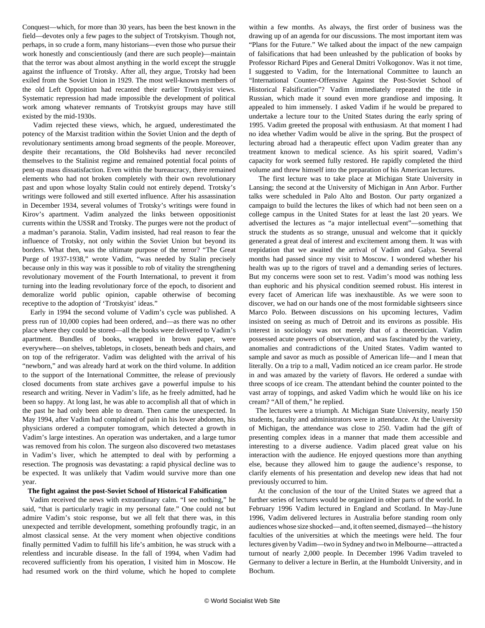Conquest—which, for more than 30 years, has been the best known in the field—devotes only a few pages to the subject of Trotskyism. Though not, perhaps, in so crude a form, many historians—even those who pursue their work honestly and conscientiously (and there are such people)—maintain that the terror was about almost anything in the world except the struggle against the influence of Trotsky. After all, they argue, Trotsky had been exiled from the Soviet Union in 1929. The most well-known members of the old Left Opposition had recanted their earlier Trotskyist views. Systematic repression had made impossible the development of political work among whatever remnants of Trotskyist groups may have still existed by the mid-1930s.

 Vadim rejected these views, which, he argued, underestimated the potency of the Marxist tradition within the Soviet Union and the depth of revolutionary sentiments among broad segments of the people. Moreover, despite their recantations, the Old Bolsheviks had never reconciled themselves to the Stalinist regime and remained potential focal points of pent-up mass dissatisfaction. Even within the bureaucracy, there remained elements who had not broken completely with their own revolutionary past and upon whose loyalty Stalin could not entirely depend. Trotsky's writings were followed and still exerted influence. After his assassination in December 1934, several volumes of Trotsky's writings were found in Kirov's apartment. Vadim analyzed the links between oppositionist currents within the USSR and Trotsky. The purges were not the product of a madman's paranoia. Stalin, Vadim insisted, had real reason to fear the influence of Trotsky, not only within the Soviet Union but beyond its borders. What then, was the ultimate purpose of the terror? "The Great Purge of 1937-1938," wrote Vadim, "was needed by Stalin precisely because only in this way was it possible to rob of vitality the strengthening revolutionary movement of the Fourth International, to prevent it from turning into the leading revolutionary force of the epoch, to disorient and demoralize world public opinion, capable otherwise of becoming receptive to the adoption of 'Trotskyist' ideas."

 Early in 1994 the second volume of Vadim's cycle was published. A press run of 10,000 copies had been ordered, and—as there was no other place where they could be stored—all the books were delivered to Vadim's apartment. Bundles of books, wrapped in brown paper, were everywhere—on shelves, tabletops, in closets, beneath beds and chairs, and on top of the refrigerator. Vadim was delighted with the arrival of his "newborn," and was already hard at work on the third volume. In addition to the support of the International Committee, the release of previously closed documents from state archives gave a powerful impulse to his research and writing. Never in Vadim's life, as he freely admitted, had he been so happy. At long last, he was able to accomplish all that of which in the past he had only been able to dream. Then came the unexpected. In May 1994, after Vadim had complained of pain in his lower abdomen, his physicians ordered a computer tomogram, which detected a growth in Vadim's large intestines. An operation was undertaken, and a large tumor was removed from his colon. The surgeon also discovered two metastases in Vadim's liver, which he attempted to deal with by performing a resection. The prognosis was devastating: a rapid physical decline was to be expected. It was unlikely that Vadim would survive more than one year.

#### **The fight against the post-Soviet School of Historical Falsification**

 Vadim received the news with extraordinary calm. "I see nothing," he said, "that is particularly tragic in my personal fate." One could not but admire Vadim's stoic response, but we all felt that there was, in this unexpected and terrible development, something profoundly tragic, in an almost classical sense. At the very moment when objective conditions finally permitted Vadim to fulfill his life's ambition, he was struck with a relentless and incurable disease. In the fall of 1994, when Vadim had recovered sufficiently from his operation, I visited him in Moscow. He had resumed work on the third volume, which he hoped to complete

within a few months. As always, the first order of business was the drawing up of an agenda for our discussions. The most important item was "Plans for the Future." We talked about the impact of the new campaign of falsifications that had been unleashed by the publication of books by Professor Richard Pipes and General Dmitri Volkogonov. Was it not time, I suggested to Vadim, for the International Committee to launch an "International Counter-Offensive Against the Post-Soviet School of Historical Falsification"? Vadim immediately repeated the title in Russian, which made it sound even more grandiose and imposing. It appealed to him immensely. I asked Vadim if he would be prepared to undertake a lecture tour to the United States during the early spring of 1995. Vadim greeted the proposal with enthusiasm. At that moment I had no idea whether Vadim would be alive in the spring. But the prospect of lecturing abroad had a therapeutic effect upon Vadim greater than any treatment known to medical science. As his spirit soared, Vadim's capacity for work seemed fully restored. He rapidly completed the third volume and threw himself into the preparation of his American lectures.

 The first lecture was to take place at Michigan State University in Lansing; the second at the University of Michigan in Ann Arbor. Further talks were scheduled in Palo Alto and Boston. Our party organized a campaign to build the lectures the likes of which had not been seen on a college campus in the United States for at least the last 20 years. We advertised the lectures as "a major intellectual event"—something that struck the students as so strange, unusual and welcome that it quickly generated a great deal of interest and excitement among them. It was with trepidation that we awaited the arrival of Vadim and Galya. Several months had passed since my visit to Moscow. I wondered whether his health was up to the rigors of travel and a demanding series of lectures. But my concerns were soon set to rest. Vadim's mood was nothing less than euphoric and his physical condition seemed robust. His interest in every facet of American life was inexhaustible. As we were soon to discover, we had on our hands one of the most formidable sightseers since Marco Polo. Between discussions on his upcoming lectures, Vadim insisted on seeing as much of Detroit and its environs as possible. His interest in sociology was not merely that of a theoretician. Vadim possessed acute powers of observation, and was fascinated by the variety, anomalies and contradictions of the United States. Vadim wanted to sample and savor as much as possible of American life—and I mean that literally. On a trip to a mall, Vadim noticed an ice cream parlor. He strode in and was amazed by the variety of flavors. He ordered a sundae with three scoops of ice cream. The attendant behind the counter pointed to the vast array of toppings, and asked Vadim which he would like on his ice cream? "All of them," he replied.

 The lectures were a triumph. At Michigan State University, nearly 150 students, faculty and administrators were in attendance. At the University of Michigan, the attendance was close to 250. Vadim had the gift of presenting complex ideas in a manner that made them accessible and interesting to a diverse audience. Vadim placed great value on his interaction with the audience. He enjoyed questions more than anything else, because they allowed him to gauge the audience's response, to clarify elements of his presentation and develop new ideas that had not previously occurred to him.

 At the conclusion of the tour of the United States we agreed that a further series of lectures would be organized in other parts of the world. In February 1996 Vadim lectured in England and Scotland. In May-June 1996, Vadim delivered lectures in Australia before standing room only audiences whose size shocked—and, it often seemed, dismayed—the history faculties of the universities at which the meetings were held. The four lectures given by Vadim—two in Sydney and two in Melbourne—attracted a turnout of nearly 2,000 people. In December 1996 Vadim traveled to Germany to deliver a lecture in Berlin, at the Humboldt University, and in Bochum.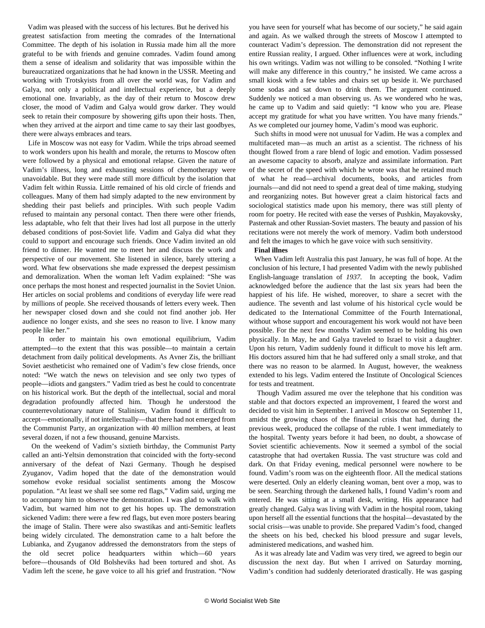Vadim was pleased with the success of his lectures. But he derived his greatest satisfaction from meeting the comrades of the International Committee. The depth of his isolation in Russia made him all the more grateful to be with friends and genuine comrades. Vadim found among them a sense of idealism and solidarity that was impossible within the bureaucratized organizations that he had known in the USSR. Meeting and working with Trotskyists from all over the world was, for Vadim and Galya, not only a political and intellectual experience, but a deeply emotional one. Invariably, as the day of their return to Moscow drew closer, the mood of Vadim and Galya would grow darker. They would seek to retain their composure by showering gifts upon their hosts. Then, when they arrived at the airport and time came to say their last goodbyes, there were always embraces and tears.

 Life in Moscow was not easy for Vadim. While the trips abroad seemed to work wonders upon his health and morale, the returns to Moscow often were followed by a physical and emotional relapse. Given the nature of Vadim's illness, long and exhausting sessions of chemotherapy were unavoidable. But they were made still more difficult by the isolation that Vadim felt within Russia. Little remained of his old circle of friends and colleagues. Many of them had simply adapted to the new environment by shedding their past beliefs and principles. With such people Vadim refused to maintain any personal contact. Then there were other friends, less adaptable, who felt that their lives had lost all purpose in the utterly debased conditions of post-Soviet life. Vadim and Galya did what they could to support and encourage such friends. Once Vadim invited an old friend to dinner. He wanted me to meet her and discuss the work and perspective of our movement. She listened in silence, barely uttering a word. What few observations she made expressed the deepest pessimism and demoralization. When the woman left Vadim explained: "She was once perhaps the most honest and respected journalist in the Soviet Union. Her articles on social problems and conditions of everyday life were read by millions of people. She received thousands of letters every week. Then her newspaper closed down and she could not find another job. Her audience no longer exists, and she sees no reason to live. I know many people like her."

 In order to maintain his own emotional equilibrium, Vadim attempted—to the extent that this was possible—to maintain a certain detachment from daily political developments. As Avner Zis, the brilliant Soviet aestheticist who remained one of Vadim's few close friends, once noted: "We watch the news on television and see only two types of people—idiots and gangsters." Vadim tried as best he could to concentrate on his historical work. But the depth of the intellectual, social and moral degradation profoundly affected him. Though he understood the counterrevolutionary nature of Stalinism, Vadim found it difficult to accept—emotionally, if not intellectually—that there had not emerged from the Communist Party, an organization with 40 million members, at least several dozen, if not a few thousand, genuine Marxists.

 On the weekend of Vadim's sixtieth birthday, the Communist Party called an anti-Yeltsin demonstration that coincided with the forty-second anniversary of the defeat of Nazi Germany. Though he despised Zyuganov, Vadim hoped that the date of the demonstration would somehow evoke residual socialist sentiments among the Moscow population. "At least we shall see some red flags," Vadim said, urging me to accompany him to observe the demonstration. I was glad to walk with Vadim, but warned him not to get his hopes up. The demonstration sickened Vadim: there were a few red flags, but even more posters bearing the image of Stalin. There were also swastikas and anti-Semitic leaflets being widely circulated. The demonstration came to a halt before the Lubianka, and Zyuganov addressed the demonstrators from the steps of the old secret police headquarters within which—60 years before—thousands of Old Bolsheviks had been tortured and shot. As Vadim left the scene, he gave voice to all his grief and frustration. "Now

you have seen for yourself what has become of our society," he said again and again. As we walked through the streets of Moscow I attempted to counteract Vadim's depression. The demonstration did not represent the entire Russian reality, I argued. Other influences were at work, including his own writings. Vadim was not willing to be consoled. "Nothing I write will make any difference in this country," he insisted. We came across a small kiosk with a few tables and chairs set up beside it. We purchased some sodas and sat down to drink them. The argument continued. Suddenly we noticed a man observing us. As we wondered who he was, he came up to Vadim and said quietly: "I know who you are. Please accept my gratitude for what you have written. You have many friends." As we completed our journey home, Vadim's mood was euphoric.

 Such shifts in mood were not unusual for Vadim. He was a complex and multifaceted man—as much an artist as a scientist. The richness of his thought flowed from a rare blend of logic and emotion. Vadim possessed an awesome capacity to absorb, analyze and assimilate information. Part of the secret of the speed with which he wrote was that he retained much of what he read—archival documents, books, and articles from journals—and did not need to spend a great deal of time making, studying and reorganizing notes. But however great a claim historical facts and sociological statistics made upon his memory, there was still plenty of room for poetry. He recited with ease the verses of Pushkin, Mayakovsky, Pasternak and other Russian-Soviet masters. The beauty and passion of his recitations were not merely the work of memory. Vadim both understood and felt the images to which he gave voice with such sensitivity.

#### **Final illnes**

 When Vadim left Australia this past January, he was full of hope. At the conclusion of his lecture, I had presented Vadim with the newly published English-language translation of *1937.* In accepting the book, Vadim acknowledged before the audience that the last six years had been the happiest of his life. He wished, moreover, to share a secret with the audience. The seventh and last volume of his historical cycle would be dedicated to the International Committee of the Fourth International, without whose support and encouragement his work would not have been possible. For the next few months Vadim seemed to be holding his own physically. In May, he and Galya traveled to Israel to visit a daughter. Upon his return, Vadim suddenly found it difficult to move his left arm. His doctors assured him that he had suffered only a small stroke, and that there was no reason to be alarmed. In August, however, the weakness extended to his legs. Vadim entered the Institute of Oncological Sciences for tests and treatment.

 Though Vadim assured me over the telephone that his condition was stable and that doctors expected an improvement, I feared the worst and decided to visit him in September. I arrived in Moscow on September 11, amidst the growing chaos of the financial crisis that had, during the previous week, produced the collapse of the ruble. I went immediately to the hospital. Twenty years before it had been, no doubt, a showcase of Soviet scientific achievements. Now it seemed a symbol of the social catastrophe that had overtaken Russia. The vast structure was cold and dark. On that Friday evening, medical personnel were nowhere to be found. Vadim's room was on the eighteenth floor. All the medical stations were deserted. Only an elderly cleaning woman, bent over a mop, was to be seen. Searching through the darkened halls, I found Vadim's room and entered. He was sitting at a small desk, writing. His appearance had greatly changed. Galya was living with Vadim in the hospital room, taking upon herself all the essential functions that the hospital—devastated by the social crisis—was unable to provide. She prepared Vadim's food, changed the sheets on his bed, checked his blood pressure and sugar levels, administered medications, and washed him.

 As it was already late and Vadim was very tired, we agreed to begin our discussion the next day. But when I arrived on Saturday morning, Vadim's condition had suddenly deteriorated drastically. He was gasping